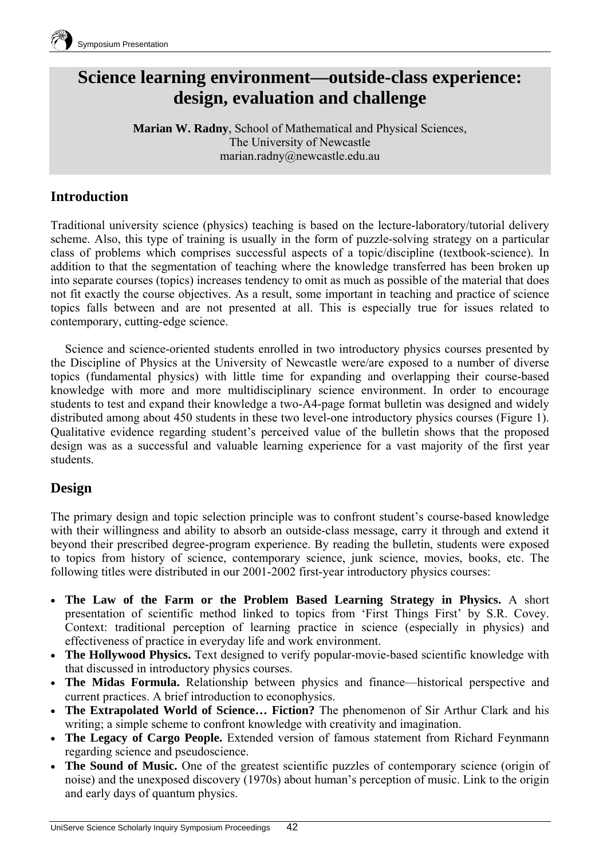

## **Science learning environment—outside-class experience: design, evaluation and challenge**

**Marian W. Radny**, School of Mathematical and Physical Sciences, The University of Newcastle marian.radny@newcastle.edu.au

### **Introduction**

Traditional university science (physics) teaching is based on the lecture-laboratory/tutorial delivery scheme. Also, this type of training is usually in the form of puzzle-solving strategy on a particular class of problems which comprises successful aspects of a topic/discipline (textbook-science). In addition to that the segmentation of teaching where the knowledge transferred has been broken up into separate courses (topics) increases tendency to omit as much as possible of the material that does not fit exactly the course objectives. As a result, some important in teaching and practice of science topics falls between and are not presented at all. This is especially true for issues related to contemporary, cutting-edge science.

Science and science-oriented students enrolled in two introductory physics courses presented by the Discipline of Physics at the University of Newcastle were/are exposed to a number of diverse topics (fundamental physics) with little time for expanding and overlapping their course-based knowledge with more and more multidisciplinary science environment. In order to encourage students to test and expand their knowledge a two-A4-page format bulletin was designed and widely distributed among about 450 students in these two level-one introductory physics courses (Figure 1). Qualitative evidence regarding student's perceived value of the bulletin shows that the proposed design was as a successful and valuable learning experience for a vast majority of the first year students.

#### **Design**

The primary design and topic selection principle was to confront student's course-based knowledge with their willingness and ability to absorb an outside-class message, carry it through and extend it beyond their prescribed degree-program experience. By reading the bulletin, students were exposed to topics from history of science, contemporary science, junk science, movies, books, etc. The following titles were distributed in our 2001-2002 first-year introductory physics courses:

- **The Law of the Farm or the Problem Based Learning Strategy in Physics.** A short presentation of scientific method linked to topics from 'First Things First' by S.R. Covey. Context: traditional perception of learning practice in science (especially in physics) and effectiveness of practice in everyday life and work environment.
- **The Hollywood Physics.** Text designed to verify popular-movie-based scientific knowledge with that discussed in introductory physics courses.
- **The Midas Formula.** Relationship between physics and finance—historical perspective and current practices. A brief introduction to econophysics.
- **The Extrapolated World of Science… Fiction?** The phenomenon of Sir Arthur Clark and his writing; a simple scheme to confront knowledge with creativity and imagination.
- **The Legacy of Cargo People.** Extended version of famous statement from Richard Feynmann regarding science and pseudoscience.
- **The Sound of Music.** One of the greatest scientific puzzles of contemporary science (origin of noise) and the unexposed discovery (1970s) about human's perception of music. Link to the origin and early days of quantum physics.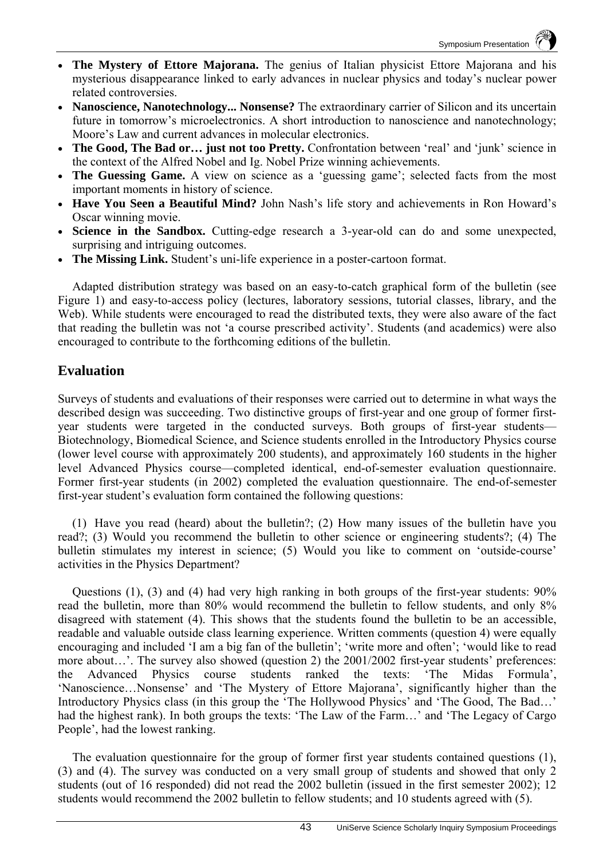- **The Mystery of Ettore Majorana.** The genius of Italian physicist Ettore Majorana and his mysterious disappearance linked to early advances in nuclear physics and today's nuclear power related controversies.
- **Nanoscience, Nanotechnology... Nonsense?** The extraordinary carrier of Silicon and its uncertain future in tomorrow's microelectronics. A short introduction to nanoscience and nanotechnology; Moore's Law and current advances in molecular electronics.
- **The Good, The Bad or… just not too Pretty.** Confrontation between 'real' and 'junk' science in the context of the Alfred Nobel and Ig. Nobel Prize winning achievements.
- **The Guessing Game.** A view on science as a 'guessing game'; selected facts from the most important moments in history of science.
- **Have You Seen a Beautiful Mind?** John Nash's life story and achievements in Ron Howard's Oscar winning movie.
- **Science in the Sandbox.** Cutting-edge research a 3-year-old can do and some unexpected, surprising and intriguing outcomes.
- **The Missing Link.** Student's uni-life experience in a poster-cartoon format.

Adapted distribution strategy was based on an easy-to-catch graphical form of the bulletin (see Figure 1) and easy-to-access policy (lectures, laboratory sessions, tutorial classes, library, and the Web). While students were encouraged to read the distributed texts, they were also aware of the fact that reading the bulletin was not 'a course prescribed activity'. Students (and academics) were also encouraged to contribute to the forthcoming editions of the bulletin.

#### **Evaluation**

Surveys of students and evaluations of their responses were carried out to determine in what ways the described design was succeeding. Two distinctive groups of first-year and one group of former firstyear students were targeted in the conducted surveys. Both groups of first-year students— Biotechnology, Biomedical Science, and Science students enrolled in the Introductory Physics course (lower level course with approximately 200 students), and approximately 160 students in the higher level Advanced Physics course—completed identical, end-of-semester evaluation questionnaire. Former first-year students (in 2002) completed the evaluation questionnaire. The end-of-semester first-year student's evaluation form contained the following questions:

(1) Have you read (heard) about the bulletin?; (2) How many issues of the bulletin have you read?; (3) Would you recommend the bulletin to other science or engineering students?; (4) The bulletin stimulates my interest in science; (5) Would you like to comment on 'outside-course' activities in the Physics Department?

Questions (1), (3) and (4) had very high ranking in both groups of the first-year students: 90% read the bulletin, more than 80% would recommend the bulletin to fellow students, and only 8% disagreed with statement (4). This shows that the students found the bulletin to be an accessible, readable and valuable outside class learning experience. Written comments (question 4) were equally encouraging and included 'I am a big fan of the bulletin'; 'write more and often'; 'would like to read more about…'. The survey also showed (question 2) the 2001/2002 first-year students' preferences: the Advanced Physics course students ranked the texts: 'The Midas Formula', 'Nanoscience…Nonsense' and 'The Mystery of Ettore Majorana', significantly higher than the Introductory Physics class (in this group the 'The Hollywood Physics' and 'The Good, The Bad…' had the highest rank). In both groups the texts: 'The Law of the Farm…' and 'The Legacy of Cargo People', had the lowest ranking.

The evaluation questionnaire for the group of former first year students contained questions (1), (3) and (4). The survey was conducted on a very small group of students and showed that only 2 students (out of 16 responded) did not read the 2002 bulletin (issued in the first semester 2002); 12 students would recommend the 2002 bulletin to fellow students; and 10 students agreed with (5).